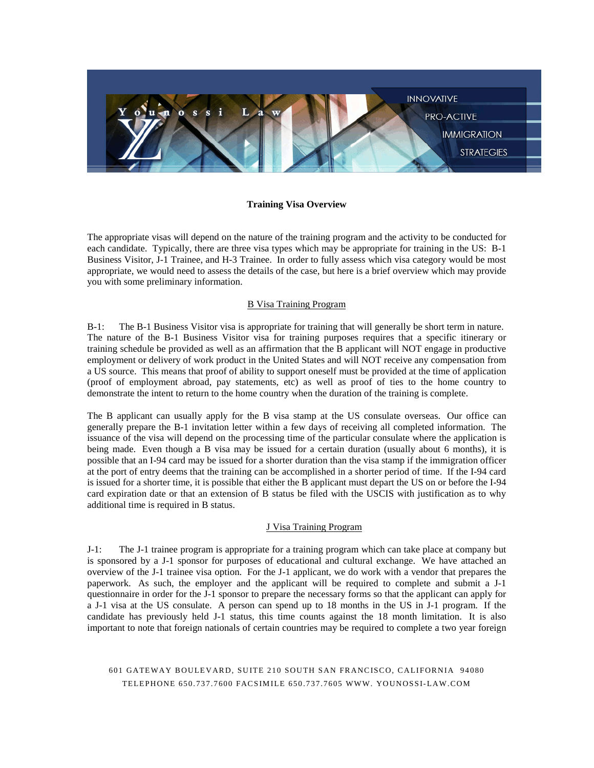

#### **Training Visa Overview**

The appropriate visas will depend on the nature of the training program and the activity to be conducted for each candidate. Typically, there are three visa types which may be appropriate for training in the US: B-1 Business Visitor, J-1 Trainee, and H-3 Trainee. In order to fully assess which visa category would be most appropriate, we would need to assess the details of the case, but here is a brief overview which may provide you with some preliminary information.

### B Visa Training Program

B-1: The B-1 Business Visitor visa is appropriate for training that will generally be short term in nature. The nature of the B-1 Business Visitor visa for training purposes requires that a specific itinerary or training schedule be provided as well as an affirmation that the B applicant will NOT engage in productive employment or delivery of work product in the United States and will NOT receive any compensation from a US source. This means that proof of ability to support oneself must be provided at the time of application (proof of employment abroad, pay statements, etc) as well as proof of ties to the home country to demonstrate the intent to return to the home country when the duration of the training is complete.

The B applicant can usually apply for the B visa stamp at the US consulate overseas. Our office can generally prepare the B-1 invitation letter within a few days of receiving all completed information. The issuance of the visa will depend on the processing time of the particular consulate where the application is being made. Even though a B visa may be issued for a certain duration (usually about 6 months), it is possible that an I-94 card may be issued for a shorter duration than the visa stamp if the immigration officer at the port of entry deems that the training can be accomplished in a shorter period of time. If the I-94 card is issued for a shorter time, it is possible that either the B applicant must depart the US on or before the I-94 card expiration date or that an extension of B status be filed with the USCIS with justification as to why additional time is required in B status.

#### J Visa Training Program

J-1: The J-1 trainee program is appropriate for a training program which can take place at company but is sponsored by a J-1 sponsor for purposes of educational and cultural exchange. We have attached an overview of the J-1 trainee visa option. For the J-1 applicant, we do work with a vendor that prepares the paperwork. As such, the employer and the applicant will be required to complete and submit a J-1 questionnaire in order for the J-1 sponsor to prepare the necessary forms so that the applicant can apply for a J-1 visa at the US consulate. A person can spend up to 18 months in the US in J-1 program. If the candidate has previously held J-1 status, this time counts against the 18 month limitation. It is also important to note that foreign nationals of certain countries may be required to complete a two year foreign

# 601 GATEWAY BOULEVARD, SUITE 210 SOUTH SAN FRANCISCO, CALIFORNIA 94080 TELEPHONE 650.737.7600 FACSIMILE 650.737 .7605 WWW. YOUNOSSI-LAW.COM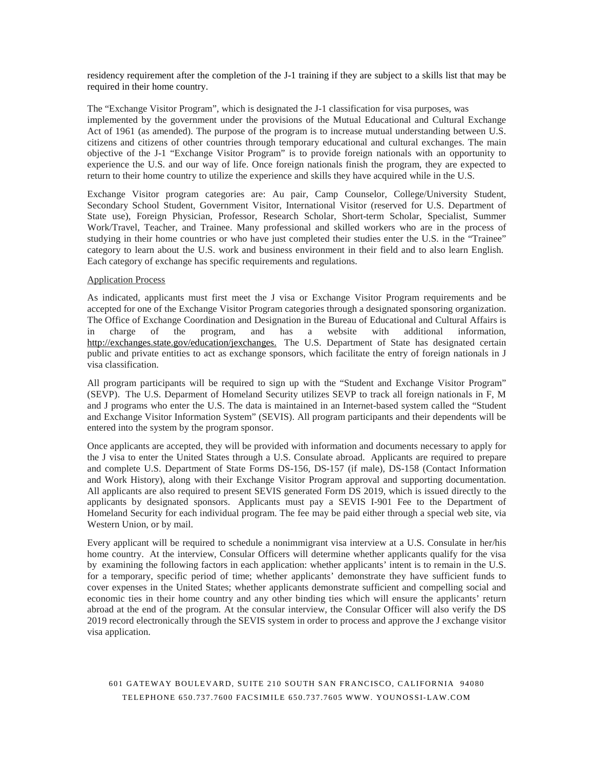residency requirement after the completion of the J-1 training if they are subject to a skills list that may be required in their home country.

The "Exchange Visitor Program", which is designated the J-1 classification for visa purposes, was implemented by the government under the provisions of the Mutual Educational and Cultural Exchange Act of 1961 (as amended). The purpose of the program is to increase mutual understanding between U.S. citizens and citizens of other countries through temporary educational and cultural exchanges. The main objective of the J-1 "Exchange Visitor Program" is to provide foreign nationals with an opportunity to experience the U.S. and our way of life. Once foreign nationals finish the program, they are expected to return to their home country to utilize the experience and skills they have acquired while in the U.S.

Exchange Visitor program categories are: Au pair, Camp Counselor, College/University Student, Secondary School Student, Government Visitor, International Visitor (reserved for U.S. Department of State use), Foreign Physician, Professor, Research Scholar, Short-term Scholar, Specialist, Summer Work/Travel, Teacher, and Trainee. Many professional and skilled workers who are in the process of studying in their home countries or who have just completed their studies enter the U.S. in the "Trainee" category to learn about the U.S. work and business environment in their field and to also learn English. Each category of exchange has specific requirements and regulations.

#### Application Process

As indicated, applicants must first meet the J visa or Exchange Visitor Program requirements and be accepted for one of the Exchange Visitor Program categories through a designated sponsoring organization. The Office of Exchange Coordination and Designation in the Bureau of Educational and Cultural Affairs is in charge of the program, and has a website with additional information, [http://exchanges.state.gov/education/jexchanges.](http://exchanges.state.gov/education/jexchanges) The U.S. Department of State has designated certain public and private entities to act as exchange sponsors, which facilitate the entry of foreign nationals in J visa classification.

All program participants will be required to sign up with the "Student and Exchange Visitor Program" (SEVP). The U.S. Deparment of Homeland Security utilizes SEVP to track all foreign nationals in F, M and J programs who enter the U.S. The data is maintained in an Internet-based system called the "Student and Exchange Visitor Information System" (SEVIS). All program participants and their dependents will be entered into the system by the program sponsor.

Once applicants are accepted, they will be provided with information and documents necessary to apply for the J visa to enter the United States through a U.S. Consulate abroad. Applicants are required to prepare and complete U.S. Department of State Forms DS-156, DS-157 (if male), DS-158 (Contact Information and Work History), along with their Exchange Visitor Program approval and supporting documentation. All applicants are also required to present SEVIS generated Form DS 2019, which is issued directly to the applicants by designated sponsors. Applicants must pay a SEVIS I-901 Fee to the Department of Homeland Security for each individual program. The fee may be paid either through a special web site, via Western Union, or by mail.

Every applicant will be required to schedule a nonimmigrant visa interview at a U.S. Consulate in her/his home country. At the interview, Consular Officers will determine whether applicants qualify for the visa by examining the following factors in each application: whether applicants' intent is to remain in the U.S. for a temporary, specific period of time; whether applicants' demonstrate they have sufficient funds to cover expenses in the United States; whether applicants demonstrate sufficient and compelling social and economic ties in their home country and any other binding ties which will ensure the applicants' return abroad at the end of the program. At the consular interview, the Consular Officer will also verify the DS 2019 record electronically through the SEVIS system in order to process and approve the J exchange visitor visa application.

# 601 GATEWAY BOULEVARD, SUITE 210 SOUTH SAN FRANCISCO, CALIFORNIA 94080 TELEPHONE 650.737.7600 FACSIMILE 650.737 .7605 WWW. YOUNOSSI-LAW.COM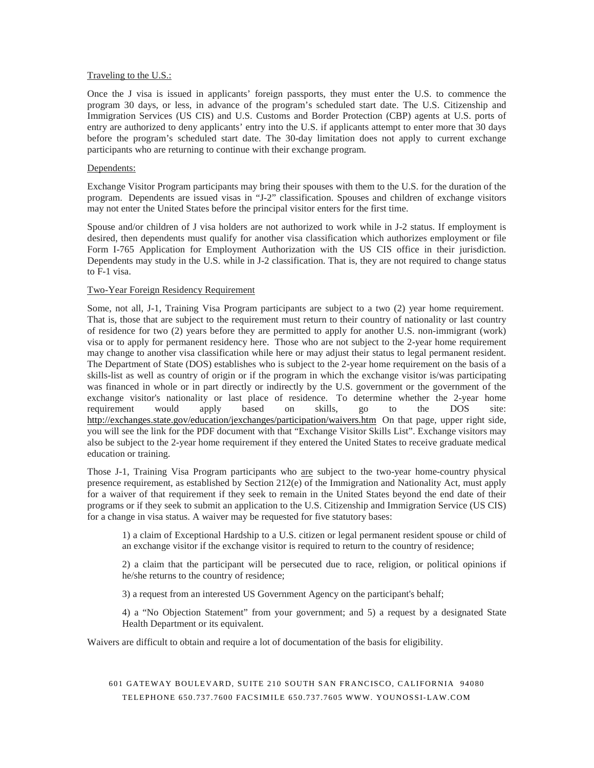#### Traveling to the U.S.:

Once the J visa is issued in applicants' foreign passports, they must enter the U.S. to commence the program 30 days, or less, in advance of the program's scheduled start date. The U.S. Citizenship and Immigration Services (US CIS) and U.S. Customs and Border Protection (CBP) agents at U.S. ports of entry are authorized to deny applicants' entry into the U.S. if applicants attempt to enter more that 30 days before the program's scheduled start date. The 30-day limitation does not apply to current exchange participants who are returning to continue with their exchange program.

#### Dependents:

Exchange Visitor Program participants may bring their spouses with them to the U.S. for the duration of the program. Dependents are issued visas in "J-2" classification. Spouses and children of exchange visitors may not enter the United States before the principal visitor enters for the first time.

Spouse and/or children of J visa holders are not authorized to work while in J-2 status. If employment is desired, then dependents must qualify for another visa classification which authorizes employment or file Form I-765 Application for Employment Authorization with the US CIS office in their jurisdiction. Dependents may study in the U.S. while in J-2 classification. That is, they are not required to change status to F-1 visa.

#### Two-Year Foreign Residency Requirement

Some, not all, J-1, Training Visa Program participants are subject to a two (2) year home requirement. That is, those that are subject to the requirement must return to their country of nationality or last country of residence for two (2) years before they are permitted to apply for another U.S. non-immigrant (work) visa or to apply for permanent residency here. Those who are not subject to the 2-year home requirement may change to another visa classification while here or may adjust their status to legal permanent resident. The Department of State (DOS) establishes who is subject to the 2-year home requirement on the basis of a skills-list as well as country of origin or if the program in which the exchange visitor is/was participating was financed in whole or in part directly or indirectly by the U.S. government or the government of the exchange visitor's nationality or last place of residence. To determine whether the 2-year home requirement would apply based on skills, go to the DOS site: <http://exchanges.state.gov/education/jexchanges/participation/waivers.htm> On that page, upper right side, you will see the link for the PDF document with that "Exchange Visitor Skills List". Exchange visitors may also be subject to the 2-year home requirement if they entered the United States to receive graduate medical education or training.

Those J-1, Training Visa Program participants who are subject to the two-year home-country physical presence requirement, as established by Section 212(e) of the Immigration and Nationality Act, must apply for a waiver of that requirement if they seek to remain in the United States beyond the end date of their programs or if they seek to submit an application to the U.S. Citizenship and Immigration Service (US CIS) for a change in visa status. A waiver may be requested for five statutory bases:

1) a claim of Exceptional Hardship to a U.S. citizen or legal permanent resident spouse or child of an exchange visitor if the exchange visitor is required to return to the country of residence;

2) a claim that the participant will be persecuted due to race, religion, or political opinions if he/she returns to the country of residence;

3) a request from an interested US Government Agency on the participant's behalf;

4) a "No Objection Statement" from your government; and 5) a request by a designated State Health Department or its equivalent.

Waivers are difficult to obtain and require a lot of documentation of the basis for eligibility.

601 GATEWAY BOULEVARD, SUITE 210 SOUTH SAN FRANCISCO, CALIFORNIA 94080 TELEPHONE 650.737.7600 FACSIMILE 650.737 .7605 WWW. YOUNOSSI-LAW.COM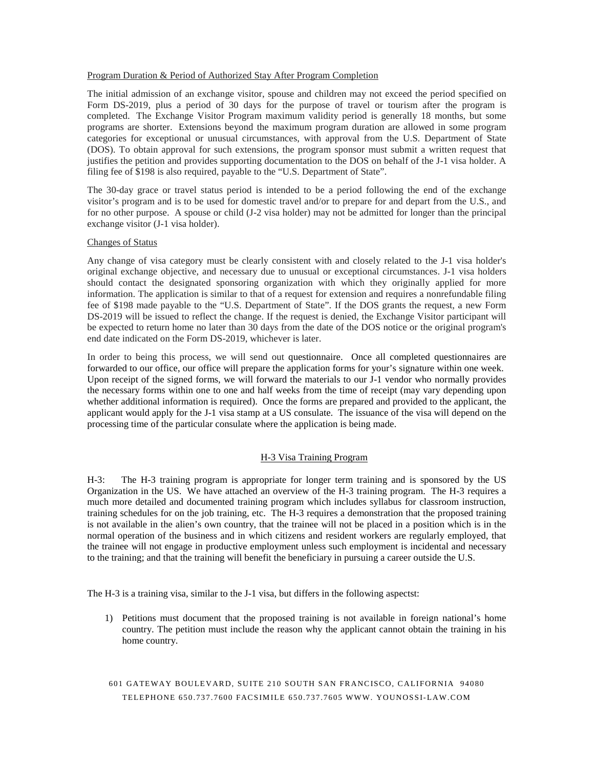#### Program Duration & Period of Authorized Stay After Program Completion

The initial admission of an exchange visitor, spouse and children may not exceed the period specified on Form DS-2019, plus a period of 30 days for the purpose of travel or tourism after the program is completed. The Exchange Visitor Program maximum validity period is generally 18 months, but some programs are shorter. Extensions beyond the maximum program duration are allowed in some program categories for exceptional or unusual circumstances, with approval from the U.S. Department of State (DOS). To obtain approval for such extensions, the program sponsor must submit a written request that justifies the petition and provides supporting documentation to the DOS on behalf of the J-1 visa holder. A filing fee of \$198 is also required, payable to the "U.S. Department of State".

The 30-day grace or travel status period is intended to be a period following the end of the exchange visitor's program and is to be used for domestic travel and/or to prepare for and depart from the U.S., and for no other purpose. A spouse or child (J-2 visa holder) may not be admitted for longer than the principal exchange visitor (J-1 visa holder).

#### Changes of Status

Any change of visa category must be clearly consistent with and closely related to the J-1 visa holder's original exchange objective, and necessary due to unusual or exceptional circumstances. J-1 visa holders should contact the designated sponsoring organization with which they originally applied for more information. The application is similar to that of a request for extension and requires a nonrefundable filing fee of \$198 made payable to the "U.S. Department of State". If the DOS grants the request, a new Form DS-2019 will be issued to reflect the change. If the request is denied, the Exchange Visitor participant will be expected to return home no later than 30 days from the date of the DOS notice or the original program's end date indicated on the Form DS-2019, whichever is later.

In order to being this process, we will send out questionnaire. Once all completed questionnaires are forwarded to our office, our office will prepare the application forms for your's signature within one week. Upon receipt of the signed forms, we will forward the materials to our J-1 vendor who normally provides the necessary forms within one to one and half weeks from the time of receipt (may vary depending upon whether additional information is required). Once the forms are prepared and provided to the applicant, the applicant would apply for the J-1 visa stamp at a US consulate. The issuance of the visa will depend on the processing time of the particular consulate where the application is being made.

# H-3 Visa Training Program

H-3: The H-3 training program is appropriate for longer term training and is sponsored by the US Organization in the US. We have attached an overview of the H-3 training program. The H-3 requires a much more detailed and documented training program which includes syllabus for classroom instruction, training schedules for on the job training, etc. The H-3 requires a demonstration that the proposed training is not available in the alien's own country, that the trainee will not be placed in a position which is in the normal operation of the business and in which citizens and resident workers are regularly employed, that the trainee will not engage in productive employment unless such employment is incidental and necessary to the training; and that the training will benefit the beneficiary in pursuing a career outside the U.S.

The H-3 is a training visa, similar to the J-1 visa, but differs in the following aspectst:

- 1) Petitions must document that the proposed training is not available in foreign national's home country. The petition must include the reason why the applicant cannot obtain the training in his home country.
- 601 GATEWAY BOULEVARD, SUITE 210 SOUTH SAN FRANCISCO, CALIFORNIA 94080 TELEPHONE 650.737.7600 FACSIMILE 650.737 .7605 WWW. YOUNOSSI-LAW.COM